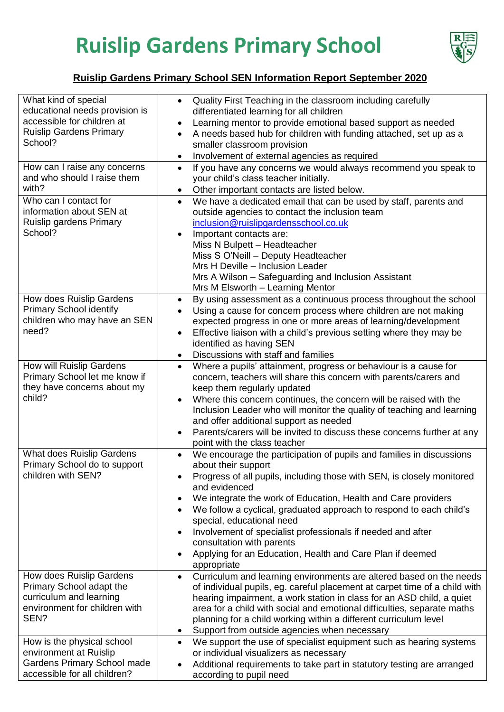## **Ruislip Gardens Primary School**



## **Ruislip Gardens Primary School SEN Information Report September 2020**

| What kind of special                                       | Quality First Teaching in the classroom including carefully<br>$\bullet$                         |
|------------------------------------------------------------|--------------------------------------------------------------------------------------------------|
| educational needs provision is                             | differentiated learning for all children                                                         |
| accessible for children at                                 | Learning mentor to provide emotional based support as needed<br>٠                                |
| <b>Ruislip Gardens Primary</b>                             | A needs based hub for children with funding attached, set up as a<br>$\bullet$                   |
| School?                                                    | smaller classroom provision                                                                      |
|                                                            | Involvement of external agencies as required                                                     |
| How can I raise any concerns                               | If you have any concerns we would always recommend you speak to<br>$\bullet$                     |
| and who should I raise them                                | your child's class teacher initially.                                                            |
| with?                                                      | Other important contacts are listed below.<br>$\bullet$                                          |
| Who can I contact for                                      | We have a dedicated email that can be used by staff, parents and<br>$\bullet$                    |
| information about SEN at                                   | outside agencies to contact the inclusion team                                                   |
| Ruislip gardens Primary                                    | inclusion@ruislipgardensschool.co.uk                                                             |
| School?                                                    | Important contacts are:<br>$\bullet$                                                             |
|                                                            | Miss N Bulpett - Headteacher                                                                     |
|                                                            | Miss S O'Neill - Deputy Headteacher                                                              |
|                                                            | Mrs H Deville - Inclusion Leader                                                                 |
|                                                            | Mrs A Wilson - Safeguarding and Inclusion Assistant                                              |
|                                                            | Mrs M Elsworth - Learning Mentor                                                                 |
| How does Ruislip Gardens<br><b>Primary School identify</b> | By using assessment as a continuous process throughout the school<br>$\bullet$                   |
| children who may have an SEN                               | Using a cause for concern process where children are not making                                  |
| need?                                                      | expected progress in one or more areas of learning/development                                   |
|                                                            | Effective liaison with a child's previous setting where they may be<br>$\bullet$                 |
|                                                            | identified as having SEN                                                                         |
| How will Ruislip Gardens                                   | Discussions with staff and families                                                              |
| Primary School let me know if                              | Where a pupils' attainment, progress or behaviour is a cause for<br>$\bullet$                    |
| they have concerns about my                                | concern, teachers will share this concern with parents/carers and<br>keep them regularly updated |
| child?                                                     | Where this concern continues, the concern will be raised with the                                |
|                                                            | Inclusion Leader who will monitor the quality of teaching and learning                           |
|                                                            | and offer additional support as needed                                                           |
|                                                            | Parents/carers will be invited to discuss these concerns further at any                          |
|                                                            | point with the class teacher                                                                     |
| What does Ruislip Gardens                                  | We encourage the participation of pupils and families in discussions<br>$\bullet$                |
| Primary School do to support                               | about their support                                                                              |
| children with SEN?                                         | Progress of all pupils, including those with SEN, is closely monitored                           |
|                                                            | and evidenced                                                                                    |
|                                                            | We integrate the work of Education, Health and Care providers<br>$\bullet$                       |
|                                                            | We follow a cyclical, graduated approach to respond to each child's                              |
|                                                            | special, educational need                                                                        |
|                                                            | Involvement of specialist professionals if needed and after<br>$\bullet$                         |
|                                                            | consultation with parents                                                                        |
|                                                            | Applying for an Education, Health and Care Plan if deemed<br>$\bullet$                           |
|                                                            | appropriate                                                                                      |
| How does Ruislip Gardens                                   | Curriculum and learning environments are altered based on the needs<br>$\bullet$                 |
| Primary School adapt the                                   | of individual pupils, eg. careful placement at carpet time of a child with                       |
| curriculum and learning                                    | hearing impairment, a work station in class for an ASD child, a quiet                            |
| environment for children with                              | area for a child with social and emotional difficulties, separate maths                          |
| SEN?                                                       | planning for a child working within a different curriculum level                                 |
|                                                            | Support from outside agencies when necessary<br>$\bullet$                                        |
| How is the physical school                                 | We support the use of specialist equipment such as hearing systems<br>$\bullet$                  |
| environment at Ruislip                                     | or individual visualizers as necessary                                                           |
| <b>Gardens Primary School made</b>                         | Additional requirements to take part in statutory testing are arranged                           |
| accessible for all children?                               | according to pupil need                                                                          |